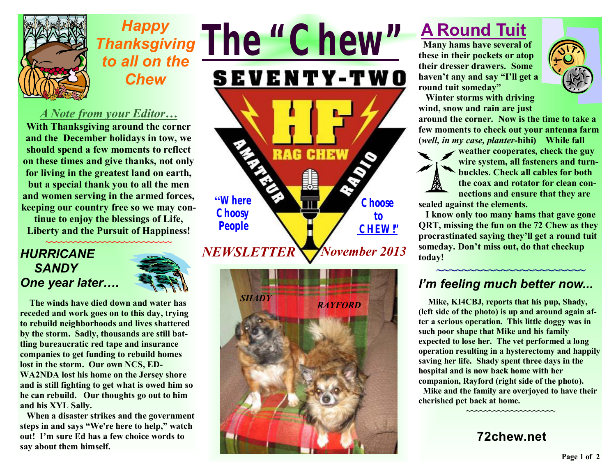

# *Happy Thanksgiving to all on the Chew*

### *A Note from your Editor…*

**With Thanksgiving around the corner and the December holidays in tow, we should spend a few moments to reflect on these times and give thanks, not only for living in the greatest land on earth, but a special thank you to all the men and women serving in the armed forces, keeping our country free so we may con-**

**tinue to enjoy the blessings of Life, Liberty and the Pursuit of Happiness!** 

#### *HURRICANE SANDY One year later….*



 **The winds have died down and water has receded and work goes on to this day, trying to rebuild neighborhoods and lives shattered by the storm. Sadly, thousands are still battling bureaucratic red tape and insurance companies to get funding to rebuild homes lost in the storm. Our own NCS, ED-WA2NDA lost his home on the Jersey shore and is still fighting to get what is owed him so he can rebuild. Our thoughts go out to him and his XYL Sally.** 

 **When a disaster strikes and the government steps in and says "We're here to help," watch out! I'm sure Ed has a few choice words to say about them himself.** 

*The "Chew"* **SEVENTY-TWO RAG CHEW "Where Choose Choosy to People CHEW!"** *November 2013 NEWSLETTER* 



# **A Round Tuit**

**Many hams have several of these in their pockets or atop their dresser drawers. Some haven't any and say "I'll get a round tuit someday"** 



**Winter storms with driving wind, snow and rain are just** 

**around the corner. Now is the time to take a few moments to check out your antenna farm (***well, in my case, planter***-hihi) While fall** 

**weather cooperates, check the guy wire system, all fasteners and turnbuckles. Check all cables for both the coax and rotator for clean connections and ensure that they are** 

**sealed against the elements.** 

**I know only too many hams that gave gone QRT, missing the fun on the 72 Chew as they procrastinated saying they'll get a round tuit someday. Don't miss out, do that checkup today!** 

#### **~~~~~~~~~~~~~~~~~~~~~~~**  *I'm feeling much better now...*

 **Mike, KI4CBJ, reports that his pup, Shady, (left side of the photo) is up and around again after a serious operation. This little doggy was in such poor shape that Mike and his family expected to lose her. The vet performed a long operation resulting in a hysterectomy and happily saving her life. Shady spent three days in the hospital and is now back home with her companion, Rayford (right side of the photo).** 

 **Mike and the family are overjoyed to have their cherished pet back at home.** 

**72chew.net**

**~~~~~~~~~~~~~~~~~~~~**